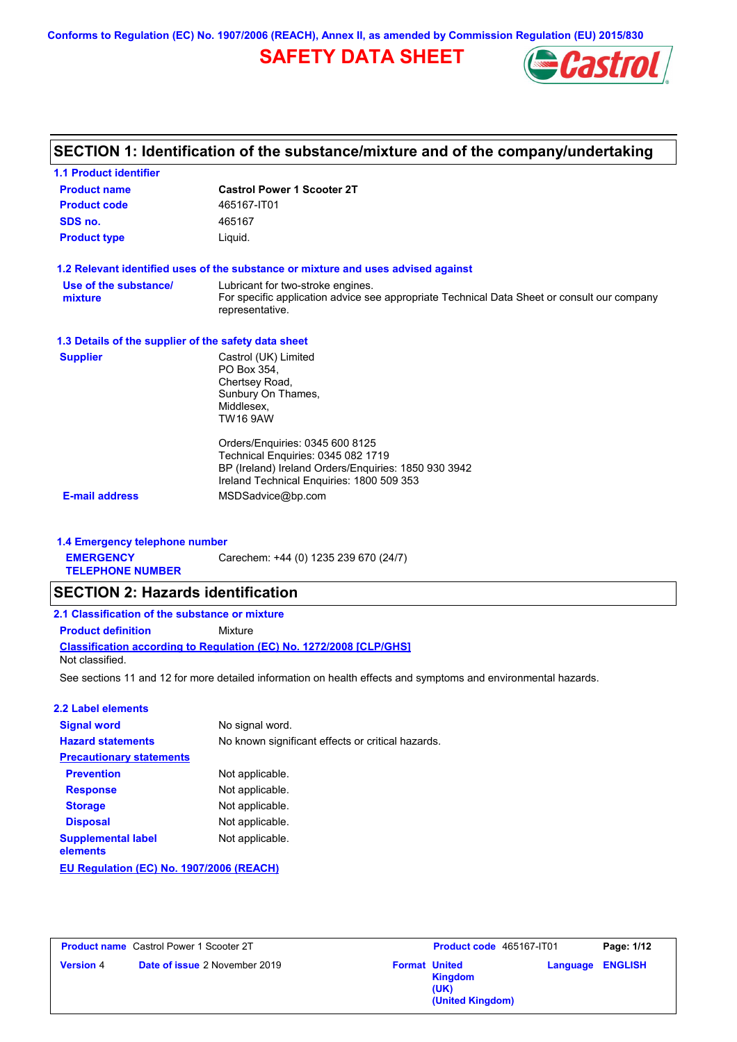**Conforms to Regulation (EC) No. 1907/2006 (REACH), Annex II, as amended by Commission Regulation (EU) 2015/830**

# **SAFETY DATA SHEET**



## **SECTION 1: Identification of the substance/mixture and of the company/undertaking**

| <b>1.1 Product identifier</b>                        |                                                                                                                                                                                                 |
|------------------------------------------------------|-------------------------------------------------------------------------------------------------------------------------------------------------------------------------------------------------|
| <b>Product name</b>                                  | <b>Castrol Power 1 Scooter 2T</b>                                                                                                                                                               |
| <b>Product code</b>                                  | 465167-IT01                                                                                                                                                                                     |
| SDS no.                                              | 465167                                                                                                                                                                                          |
| <b>Product type</b>                                  | Liquid.                                                                                                                                                                                         |
|                                                      | 1.2 Relevant identified uses of the substance or mixture and uses advised against                                                                                                               |
| Use of the substance/<br>mixture                     | Lubricant for two-stroke engines.<br>For specific application advice see appropriate Technical Data Sheet or consult our company<br>representative.                                             |
| 1.3 Details of the supplier of the safety data sheet |                                                                                                                                                                                                 |
| <b>Supplier</b>                                      | Castrol (UK) Limited<br>PO Box 354,<br>Chertsey Road,<br>Sunbury On Thames,<br>Middlesex.<br><b>TW16 9AW</b>                                                                                    |
| <b>E-mail address</b>                                | Orders/Enquiries: 0345 600 8125<br>Technical Enguiries: 0345 082 1719<br>BP (Ireland) Ireland Orders/Enquiries: 1850 930 3942<br>Ireland Technical Enguiries: 1800 509 353<br>MSDSadvice@bp.com |
|                                                      |                                                                                                                                                                                                 |
| 1.4 Emergency telephone number                       |                                                                                                                                                                                                 |
| <b>EMERGENCY</b><br><b>TELEPHONE NUMBER</b>          | Carechem: +44 (0) 1235 239 670 (24/7)                                                                                                                                                           |

## **SECTION 2: Hazards identification**

| 2.1 Classification of the substance or mixture                      |         |  |  |
|---------------------------------------------------------------------|---------|--|--|
| <b>Product definition</b>                                           | Mixture |  |  |
| Classification according to Regulation (EC) No. 1272/2008 [CLP/GHS] |         |  |  |

Not classified.

See sections 11 and 12 for more detailed information on health effects and symptoms and environmental hazards.

#### **2.2 Label elements**

| <b>Signal word</b>                       | No signal word.                                   |
|------------------------------------------|---------------------------------------------------|
| <b>Hazard statements</b>                 | No known significant effects or critical hazards. |
| <b>Precautionary statements</b>          |                                                   |
| <b>Prevention</b>                        | Not applicable.                                   |
| <b>Response</b>                          | Not applicable.                                   |
| <b>Storage</b>                           | Not applicable.                                   |
| <b>Disposal</b>                          | Not applicable.                                   |
| <b>Supplemental label</b><br>elements    | Not applicable.                                   |
| EU Regulation (EC) No. 1907/2006 (REACH) |                                                   |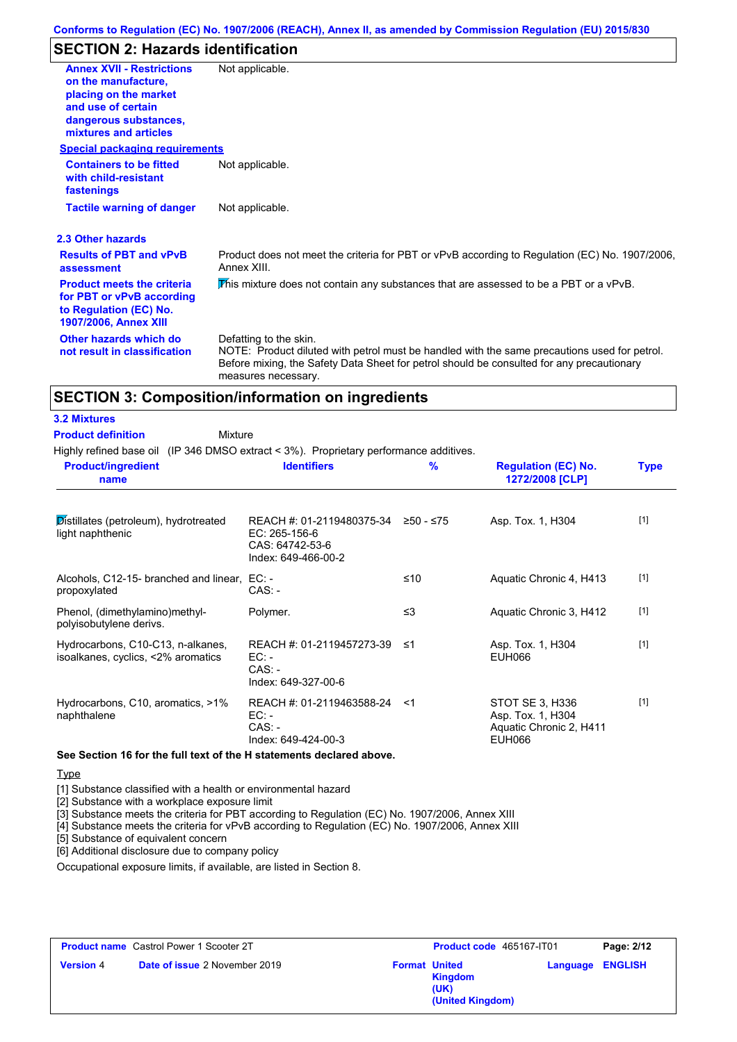## **SECTION 2: Hazards identification**

| <b>Annex XVII - Restrictions</b><br>on the manufacture.<br>placing on the market<br>and use of certain<br>dangerous substances,<br>mixtures and articles | Not applicable.                                                                                                                                                                                                                            |
|----------------------------------------------------------------------------------------------------------------------------------------------------------|--------------------------------------------------------------------------------------------------------------------------------------------------------------------------------------------------------------------------------------------|
| <b>Special packaging requirements</b><br><b>Containers to be fitted</b><br>with child-resistant<br>fastenings                                            | Not applicable.                                                                                                                                                                                                                            |
| <b>Tactile warning of danger</b>                                                                                                                         | Not applicable.                                                                                                                                                                                                                            |
| 2.3 Other hazards                                                                                                                                        |                                                                                                                                                                                                                                            |
| <b>Results of PBT and vPvB</b><br>assessment                                                                                                             | Product does not meet the criteria for PBT or vPvB according to Regulation (EC) No. 1907/2006,<br>Annex XIII.                                                                                                                              |
| <b>Product meets the criteria</b><br>for PBT or vPvB according<br>to Regulation (EC) No.<br>1907/2006, Annex XIII                                        | This mixture does not contain any substances that are assessed to be a PBT or a vPvB.                                                                                                                                                      |
| Other hazards which do<br>not result in classification                                                                                                   | Defatting to the skin.<br>NOTE: Product diluted with petrol must be handled with the same precautions used for petrol.<br>Before mixing, the Safety Data Sheet for petrol should be consulted for any precautionary<br>measures necessary. |

### **SECTION 3: Composition/information on ingredients**

#### **3.2 Mixtures**

**Mixture Product definition**

Highly refined base oil (IP 346 DMSO extract < 3%). Proprietary performance additives.

| <b>Product/ingredient</b><br>name                                       | <b>Identifiers</b>                                                                   | $\frac{9}{6}$ | <b>Regulation (EC) No.</b><br>1272/2008 [CLP]                                    | <b>Type</b> |
|-------------------------------------------------------------------------|--------------------------------------------------------------------------------------|---------------|----------------------------------------------------------------------------------|-------------|
| Distillates (petroleum), hydrotreated<br>light naphthenic               | REACH #: 01-2119480375-34<br>EC: 265-156-6<br>CAS: 64742-53-6<br>Index: 649-466-00-2 | ≥50 - ≤75     | Asp. Tox. 1, H304                                                                | $[1]$       |
| Alcohols, C12-15- branched and linear,<br>propoxylated                  | EC: -<br>$CAS: -$                                                                    | ≤10           | Aquatic Chronic 4, H413                                                          | $[1]$       |
| Phenol, (dimethylamino)methyl-<br>polyisobutylene derivs.               | Polymer.                                                                             | $\leq$ 3      | Aquatic Chronic 3, H412                                                          | $[1]$       |
| Hydrocarbons, C10-C13, n-alkanes,<br>isoalkanes, cyclics, <2% aromatics | REACH #: 01-2119457273-39<br>EC:<br>$CAS: -$<br>Index: 649-327-00-6                  | ึ ≤1          | Asp. Tox. 1, H304<br><b>EUH066</b>                                               | $[1]$       |
| Hydrocarbons, C10, aromatics, >1%<br>naphthalene                        | REACH #: 01-2119463588-24 <1<br>$EC: -$<br>$CAS: -$<br>Index: 649-424-00-3           |               | STOT SE 3, H336<br>Asp. Tox. 1, H304<br>Aquatic Chronic 2, H411<br><b>EUH066</b> | $[1]$       |

**See Section 16 for the full text of the H statements declared above.**

#### **Type**

[1] Substance classified with a health or environmental hazard

[2] Substance with a workplace exposure limit

[3] Substance meets the criteria for PBT according to Regulation (EC) No. 1907/2006, Annex XIII

[4] Substance meets the criteria for vPvB according to Regulation (EC) No. 1907/2006, Annex XIII

[5] Substance of equivalent concern

[6] Additional disclosure due to company policy

Occupational exposure limits, if available, are listed in Section 8.

|                  | <b>Product name</b> Castrol Power 1 Scooter 2T | <b>Product code</b> 465167-IT01                                    |                         | Page: 2/12 |
|------------------|------------------------------------------------|--------------------------------------------------------------------|-------------------------|------------|
| <b>Version 4</b> | <b>Date of issue 2 November 2019</b>           | <b>Format United</b><br><b>Kingdom</b><br>(UK)<br>(United Kingdom) | <b>Language ENGLISH</b> |            |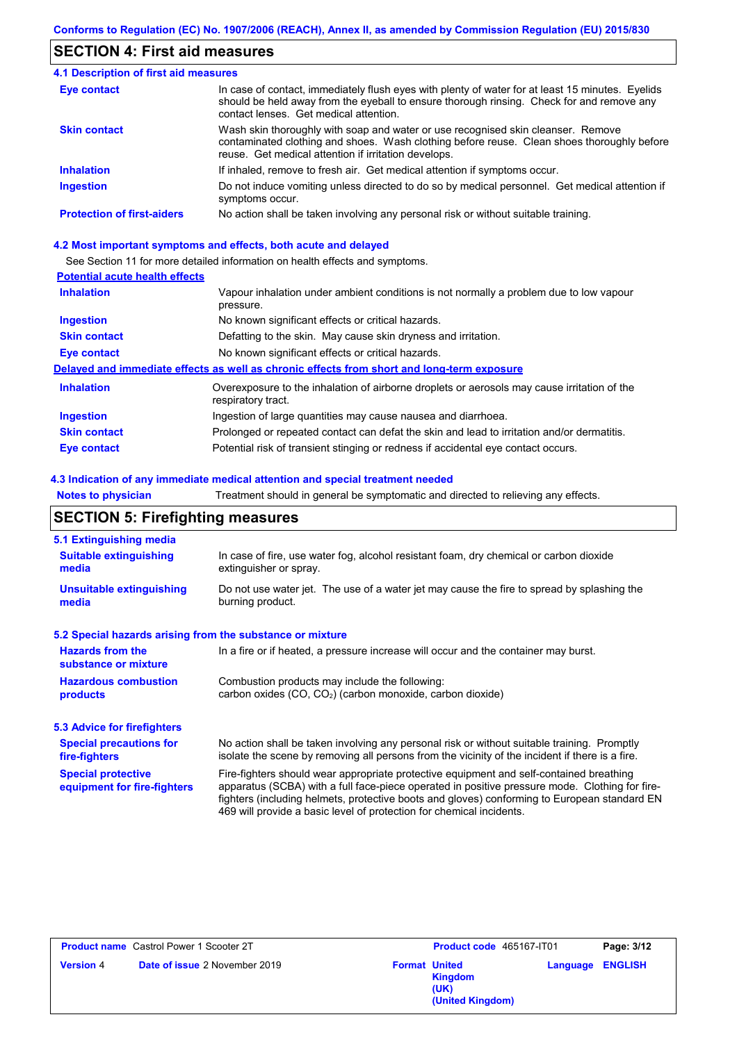### **SECTION 4: First aid measures**

#### Do not induce vomiting unless directed to do so by medical personnel. Get medical attention if symptoms occur. In case of contact, immediately flush eyes with plenty of water for at least 15 minutes. Eyelids should be held away from the eyeball to ensure thorough rinsing. Check for and remove any contact lenses. Get medical attention. **4.1 Description of first aid measures** If inhaled, remove to fresh air. Get medical attention if symptoms occur. **Ingestion Inhalation Eye contact Protection of first-aiders** No action shall be taken involving any personal risk or without suitable training. **Skin contact** Wash skin thoroughly with soap and water or use recognised skin cleanser. Remove contaminated clothing and shoes. Wash clothing before reuse. Clean shoes thoroughly before reuse. Get medical attention if irritation develops.

#### **4.2 Most important symptoms and effects, both acute and delayed**

See Section 11 for more detailed information on health effects and symptoms.

### **Potential acute health effects**

| <b>Inhalation</b>   | Vapour inhalation under ambient conditions is not normally a problem due to low vapour                            |
|---------------------|-------------------------------------------------------------------------------------------------------------------|
|                     | pressure.                                                                                                         |
| <b>Ingestion</b>    | No known significant effects or critical hazards.                                                                 |
| <b>Skin contact</b> | Defatting to the skin. May cause skin dryness and irritation.                                                     |
| Eye contact         | No known significant effects or critical hazards.                                                                 |
|                     | Delayed and immediate effects as well as chronic effects from short and long-term exposure                        |
| <b>Inhalation</b>   | Overexposure to the inhalation of airborne droplets or aerosols may cause irritation of the<br>respiratory tract. |
| <b>Ingestion</b>    | Ingestion of large quantities may cause nausea and diarrhoea.                                                     |
| <b>Skin contact</b> | Prolonged or repeated contact can defat the skin and lead to irritation and/or dermatitis.                        |
| Eye contact         | Potential risk of transient stinging or redness if accidental eye contact occurs.                                 |

#### **4.3 Indication of any immediate medical attention and special treatment needed**

**Notes to physician** Treatment should in general be symptomatic and directed to relieving any effects.

### **SECTION 5: Firefighting measures**

| 5.1 Extinguishing media                                                                                                                                  |                                                                                                                                                                                                                                                                                                                                                                   |
|----------------------------------------------------------------------------------------------------------------------------------------------------------|-------------------------------------------------------------------------------------------------------------------------------------------------------------------------------------------------------------------------------------------------------------------------------------------------------------------------------------------------------------------|
| <b>Suitable extinguishing</b><br>media                                                                                                                   | In case of fire, use water fog, alcohol resistant foam, dry chemical or carbon dioxide<br>extinguisher or spray.                                                                                                                                                                                                                                                  |
| <b>Unsuitable extinguishing</b><br>media                                                                                                                 | Do not use water jet. The use of a water jet may cause the fire to spread by splashing the<br>burning product.                                                                                                                                                                                                                                                    |
| 5.2 Special hazards arising from the substance or mixture                                                                                                |                                                                                                                                                                                                                                                                                                                                                                   |
| <b>Hazards from the</b><br>substance or mixture                                                                                                          | In a fire or if heated, a pressure increase will occur and the container may burst.                                                                                                                                                                                                                                                                               |
| <b>Hazardous combustion</b><br>Combustion products may include the following:<br>carbon oxides $(CO, CO2)$ (carbon monoxide, carbon dioxide)<br>products |                                                                                                                                                                                                                                                                                                                                                                   |
| 5.3 Advice for firefighters                                                                                                                              |                                                                                                                                                                                                                                                                                                                                                                   |
| <b>Special precautions for</b><br>fire-fighters                                                                                                          | No action shall be taken involving any personal risk or without suitable training. Promptly<br>isolate the scene by removing all persons from the vicinity of the incident if there is a fire.                                                                                                                                                                    |
| <b>Special protective</b><br>equipment for fire-fighters                                                                                                 | Fire-fighters should wear appropriate protective equipment and self-contained breathing<br>apparatus (SCBA) with a full face-piece operated in positive pressure mode. Clothing for fire-<br>fighters (including helmets, protective boots and gloves) conforming to European standard EN<br>469 will provide a basic level of protection for chemical incidents. |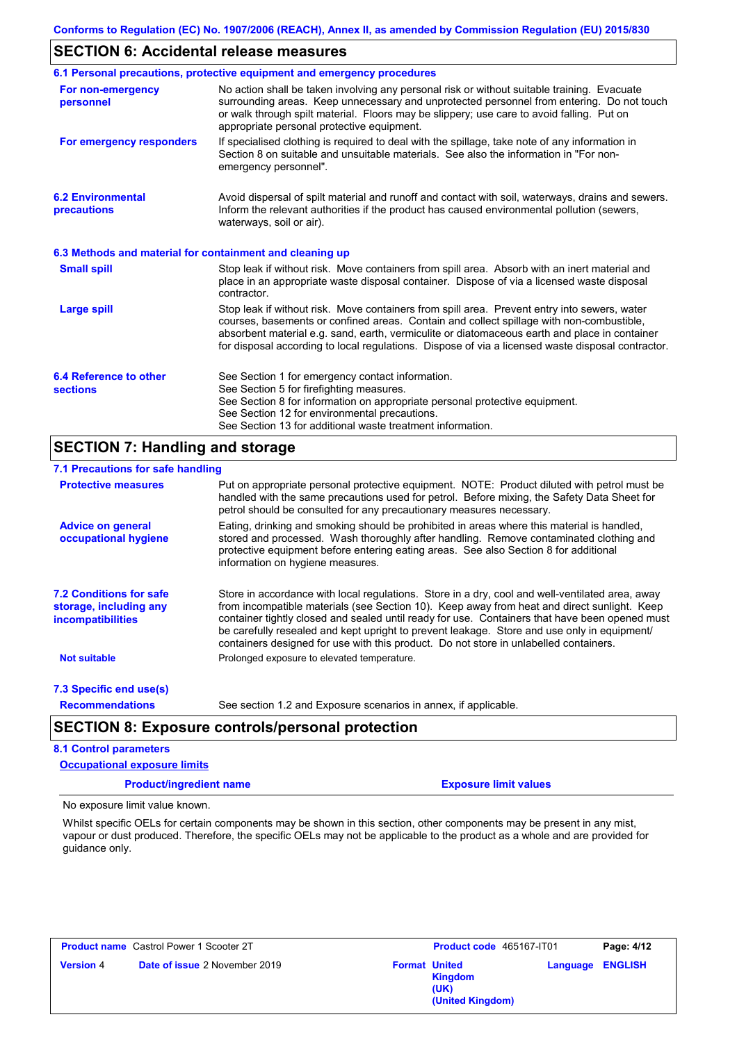### **SECTION 6: Accidental release measures**

|                                                          | 6.1 Personal precautions, protective equipment and emergency procedures                                                                                                                                                                                                                                                                                                                        |
|----------------------------------------------------------|------------------------------------------------------------------------------------------------------------------------------------------------------------------------------------------------------------------------------------------------------------------------------------------------------------------------------------------------------------------------------------------------|
| For non-emergency<br>personnel                           | No action shall be taken involving any personal risk or without suitable training. Evacuate<br>surrounding areas. Keep unnecessary and unprotected personnel from entering. Do not touch<br>or walk through spilt material. Floors may be slippery; use care to avoid falling. Put on<br>appropriate personal protective equipment.                                                            |
| For emergency responders                                 | If specialised clothing is required to deal with the spillage, take note of any information in<br>Section 8 on suitable and unsuitable materials. See also the information in "For non-<br>emergency personnel".                                                                                                                                                                               |
| <b>6.2 Environmental</b><br>precautions                  | Avoid dispersal of spilt material and runoff and contact with soil, waterways, drains and sewers.<br>Inform the relevant authorities if the product has caused environmental pollution (sewers,<br>waterways, soil or air).                                                                                                                                                                    |
| 6.3 Methods and material for containment and cleaning up |                                                                                                                                                                                                                                                                                                                                                                                                |
| <b>Small spill</b>                                       | Stop leak if without risk. Move containers from spill area. Absorb with an inert material and<br>place in an appropriate waste disposal container. Dispose of via a licensed waste disposal<br>contractor.                                                                                                                                                                                     |
| <b>Large spill</b>                                       | Stop leak if without risk. Move containers from spill area. Prevent entry into sewers, water<br>courses, basements or confined areas. Contain and collect spillage with non-combustible,<br>absorbent material e.g. sand, earth, vermiculite or diatomaceous earth and place in container<br>for disposal according to local regulations. Dispose of via a licensed waste disposal contractor. |
| 6.4 Reference to other<br><b>sections</b>                | See Section 1 for emergency contact information.<br>See Section 5 for firefighting measures.<br>See Section 8 for information on appropriate personal protective equipment.<br>See Section 12 for environmental precautions.<br>See Section 13 for additional waste treatment information.                                                                                                     |

### **SECTION 7: Handling and storage**

### **7.1 Precautions for safe handling**

| <b>Protective measures</b>                                                           | Put on appropriate personal protective equipment. NOTE: Product diluted with petrol must be<br>handled with the same precautions used for petrol. Before mixing, the Safety Data Sheet for<br>petrol should be consulted for any precautionary measures necessary.                                                                                                                                                                                                                       |  |
|--------------------------------------------------------------------------------------|------------------------------------------------------------------------------------------------------------------------------------------------------------------------------------------------------------------------------------------------------------------------------------------------------------------------------------------------------------------------------------------------------------------------------------------------------------------------------------------|--|
| <b>Advice on general</b><br>occupational hygiene                                     | Eating, drinking and smoking should be prohibited in areas where this material is handled.<br>stored and processed. Wash thoroughly after handling. Remove contaminated clothing and<br>protective equipment before entering eating areas. See also Section 8 for additional<br>information on hygiene measures.                                                                                                                                                                         |  |
| <b>7.2 Conditions for safe</b><br>storage, including any<br><i>incompatibilities</i> | Store in accordance with local regulations. Store in a dry, cool and well-ventilated area, away<br>from incompatible materials (see Section 10). Keep away from heat and direct sunlight. Keep<br>container tightly closed and sealed until ready for use. Containers that have been opened must<br>be carefully resealed and kept upright to prevent leakage. Store and use only in equipment/<br>containers designed for use with this product. Do not store in unlabelled containers. |  |
| <b>Not suitable</b>                                                                  | Prolonged exposure to elevated temperature.                                                                                                                                                                                                                                                                                                                                                                                                                                              |  |
| 7.3 Specific end use(s)                                                              |                                                                                                                                                                                                                                                                                                                                                                                                                                                                                          |  |
| <b>Recommendations</b>                                                               | See section 1.2 and Exposure scenarios in annex, if applicable.                                                                                                                                                                                                                                                                                                                                                                                                                          |  |
| <b>SECTION 8: Exposure controls/personal protection</b>                              |                                                                                                                                                                                                                                                                                                                                                                                                                                                                                          |  |

#### **8.1 Control parameters**

#### **Occupational exposure limits**

**Product/ingredient name Exposure limit values**

No exposure limit value known.

Whilst specific OELs for certain components may be shown in this section, other components may be present in any mist, vapour or dust produced. Therefore, the specific OELs may not be applicable to the product as a whole and are provided for guidance only.

| <b>Product name</b> Castrol Power 1 Scooter 2T           |                      | Product code 465167-IT01                   |                         | Page: 4/12 |
|----------------------------------------------------------|----------------------|--------------------------------------------|-------------------------|------------|
| <b>Version</b> 4<br><b>Date of issue 2 November 2019</b> | <b>Format United</b> | <b>Kingdom</b><br>(UK)<br>(United Kingdom) | <b>Language ENGLISH</b> |            |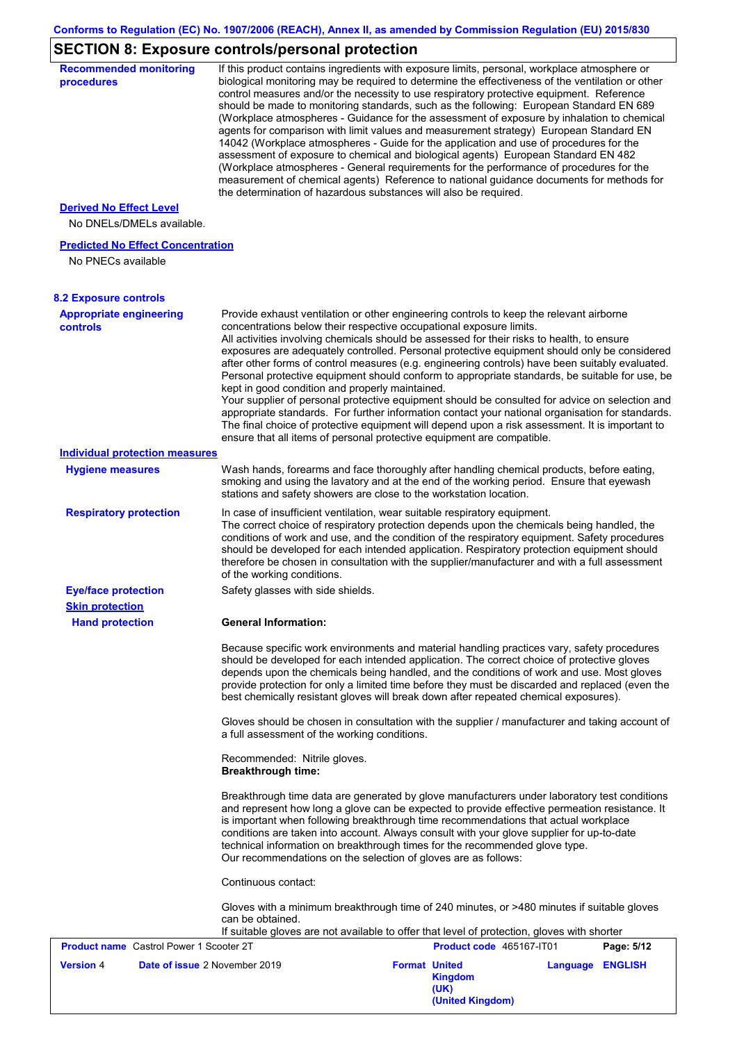# **SECTION 8: Exposure controls/personal protection**

| <b>Recommended monitoring</b><br>procedures                 | If this product contains ingredients with exposure limits, personal, workplace atmosphere or<br>biological monitoring may be required to determine the effectiveness of the ventilation or other<br>control measures and/or the necessity to use respiratory protective equipment. Reference<br>should be made to monitoring standards, such as the following: European Standard EN 689<br>(Workplace atmospheres - Guidance for the assessment of exposure by inhalation to chemical<br>agents for comparison with limit values and measurement strategy) European Standard EN<br>14042 (Workplace atmospheres - Guide for the application and use of procedures for the<br>assessment of exposure to chemical and biological agents) European Standard EN 482<br>(Workplace atmospheres - General requirements for the performance of procedures for the<br>measurement of chemical agents) Reference to national guidance documents for methods for<br>the determination of hazardous substances will also be required. |
|-------------------------------------------------------------|----------------------------------------------------------------------------------------------------------------------------------------------------------------------------------------------------------------------------------------------------------------------------------------------------------------------------------------------------------------------------------------------------------------------------------------------------------------------------------------------------------------------------------------------------------------------------------------------------------------------------------------------------------------------------------------------------------------------------------------------------------------------------------------------------------------------------------------------------------------------------------------------------------------------------------------------------------------------------------------------------------------------------|
| <b>Derived No Effect Level</b><br>No DNELs/DMELs available. |                                                                                                                                                                                                                                                                                                                                                                                                                                                                                                                                                                                                                                                                                                                                                                                                                                                                                                                                                                                                                            |
| <b>Predicted No Effect Concentration</b>                    |                                                                                                                                                                                                                                                                                                                                                                                                                                                                                                                                                                                                                                                                                                                                                                                                                                                                                                                                                                                                                            |
| No PNECs available                                          |                                                                                                                                                                                                                                                                                                                                                                                                                                                                                                                                                                                                                                                                                                                                                                                                                                                                                                                                                                                                                            |
| <b>8.2 Exposure controls</b>                                |                                                                                                                                                                                                                                                                                                                                                                                                                                                                                                                                                                                                                                                                                                                                                                                                                                                                                                                                                                                                                            |
| <b>Appropriate engineering</b><br><b>controls</b>           | Provide exhaust ventilation or other engineering controls to keep the relevant airborne<br>concentrations below their respective occupational exposure limits.<br>All activities involving chemicals should be assessed for their risks to health, to ensure<br>exposures are adequately controlled. Personal protective equipment should only be considered<br>after other forms of control measures (e.g. engineering controls) have been suitably evaluated.<br>Personal protective equipment should conform to appropriate standards, be suitable for use, be<br>kept in good condition and properly maintained.<br>Your supplier of personal protective equipment should be consulted for advice on selection and<br>appropriate standards. For further information contact your national organisation for standards.<br>The final choice of protective equipment will depend upon a risk assessment. It is important to<br>ensure that all items of personal protective equipment are compatible.                    |
| <b>Individual protection measures</b>                       |                                                                                                                                                                                                                                                                                                                                                                                                                                                                                                                                                                                                                                                                                                                                                                                                                                                                                                                                                                                                                            |
| <b>Hygiene measures</b>                                     | Wash hands, forearms and face thoroughly after handling chemical products, before eating,<br>smoking and using the lavatory and at the end of the working period. Ensure that eyewash<br>stations and safety showers are close to the workstation location.                                                                                                                                                                                                                                                                                                                                                                                                                                                                                                                                                                                                                                                                                                                                                                |
| <b>Respiratory protection</b>                               | In case of insufficient ventilation, wear suitable respiratory equipment.<br>The correct choice of respiratory protection depends upon the chemicals being handled, the<br>conditions of work and use, and the condition of the respiratory equipment. Safety procedures<br>should be developed for each intended application. Respiratory protection equipment should<br>therefore be chosen in consultation with the supplier/manufacturer and with a full assessment<br>of the working conditions.                                                                                                                                                                                                                                                                                                                                                                                                                                                                                                                      |
| <b>Eye/face protection</b>                                  | Safety glasses with side shields.                                                                                                                                                                                                                                                                                                                                                                                                                                                                                                                                                                                                                                                                                                                                                                                                                                                                                                                                                                                          |
| <b>Skin protection</b>                                      |                                                                                                                                                                                                                                                                                                                                                                                                                                                                                                                                                                                                                                                                                                                                                                                                                                                                                                                                                                                                                            |
| <b>Hand protection</b>                                      | <b>General Information:</b>                                                                                                                                                                                                                                                                                                                                                                                                                                                                                                                                                                                                                                                                                                                                                                                                                                                                                                                                                                                                |
|                                                             | Because specific work environments and material handling practices vary, safety procedures<br>should be developed for each intended application. The correct choice of protective gloves<br>depends upon the chemicals being handled, and the conditions of work and use. Most gloves<br>provide protection for only a limited time before they must be discarded and replaced (even the<br>best chemically resistant gloves will break down after repeated chemical exposures).                                                                                                                                                                                                                                                                                                                                                                                                                                                                                                                                           |
|                                                             | Gloves should be chosen in consultation with the supplier / manufacturer and taking account of<br>a full assessment of the working conditions.                                                                                                                                                                                                                                                                                                                                                                                                                                                                                                                                                                                                                                                                                                                                                                                                                                                                             |
|                                                             | Recommended: Nitrile gloves.<br><b>Breakthrough time:</b>                                                                                                                                                                                                                                                                                                                                                                                                                                                                                                                                                                                                                                                                                                                                                                                                                                                                                                                                                                  |
|                                                             | Breakthrough time data are generated by glove manufacturers under laboratory test conditions<br>and represent how long a glove can be expected to provide effective permeation resistance. It<br>is important when following breakthrough time recommendations that actual workplace<br>conditions are taken into account. Always consult with your glove supplier for up-to-date<br>technical information on breakthrough times for the recommended glove type.<br>Our recommendations on the selection of gloves are as follows:                                                                                                                                                                                                                                                                                                                                                                                                                                                                                         |
|                                                             | Continuous contact:                                                                                                                                                                                                                                                                                                                                                                                                                                                                                                                                                                                                                                                                                                                                                                                                                                                                                                                                                                                                        |
|                                                             | Gloves with a minimum breakthrough time of 240 minutes, or >480 minutes if suitable gloves<br>can be obtained.<br>If suitable gloves are not available to offer that level of protection, gloves with shorter                                                                                                                                                                                                                                                                                                                                                                                                                                                                                                                                                                                                                                                                                                                                                                                                              |
| <b>Product name</b> Castrol Power 1 Scooter 2T              | Product code 465167-IT01<br>Page: 5/12                                                                                                                                                                                                                                                                                                                                                                                                                                                                                                                                                                                                                                                                                                                                                                                                                                                                                                                                                                                     |
| <b>Version 4</b><br>Date of issue 2 November 2019           | <b>Format United</b><br>Language ENGLISH<br><b>Kingdom</b><br>(UK)<br>(United Kingdom)                                                                                                                                                                                                                                                                                                                                                                                                                                                                                                                                                                                                                                                                                                                                                                                                                                                                                                                                     |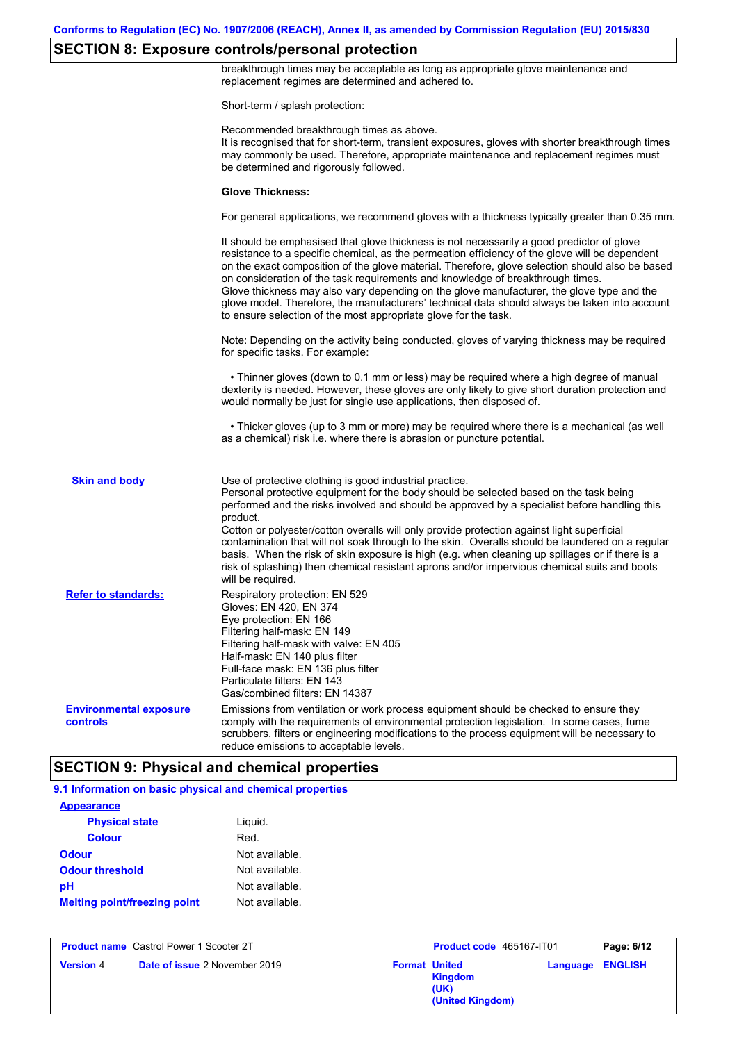### **SECTION 8: Exposure controls/personal protection**

breakthrough times may be acceptable as long as appropriate glove maintenance and replacement regimes are determined and adhered to. Short-term / splash protection: Recommended breakthrough times as above. It is recognised that for short-term, transient exposures, gloves with shorter breakthrough times may commonly be used. Therefore, appropriate maintenance and replacement regimes must be determined and rigorously followed. **Glove Thickness:** For general applications, we recommend gloves with a thickness typically greater than 0.35 mm. It should be emphasised that glove thickness is not necessarily a good predictor of glove resistance to a specific chemical, as the permeation efficiency of the glove will be dependent on the exact composition of the glove material. Therefore, glove selection should also be based on consideration of the task requirements and knowledge of breakthrough times. Glove thickness may also vary depending on the glove manufacturer, the glove type and the glove model. Therefore, the manufacturers' technical data should always be taken into account to ensure selection of the most appropriate glove for the task. Note: Depending on the activity being conducted, gloves of varying thickness may be required for specific tasks. For example: • Thinner gloves (down to 0.1 mm or less) may be required where a high degree of manual dexterity is needed. However, these gloves are only likely to give short duration protection and would normally be just for single use applications, then disposed of. • Thicker gloves (up to 3 mm or more) may be required where there is a mechanical (as well as a chemical) risk i.e. where there is abrasion or puncture potential. Use of protective clothing is good industrial practice. Personal protective equipment for the body should be selected based on the task being performed and the risks involved and should be approved by a specialist before handling this product. Cotton or polyester/cotton overalls will only provide protection against light superficial contamination that will not soak through to the skin. Overalls should be laundered on a regular basis. When the risk of skin exposure is high (e.g. when cleaning up spillages or if there is a risk of splashing) then chemical resistant aprons and/or impervious chemical suits and boots will be required. **Environmental exposure controls** Emissions from ventilation or work process equipment should be checked to ensure they comply with the requirements of environmental protection legislation. In some cases, fume scrubbers, filters or engineering modifications to the process equipment will be necessary to reduce emissions to acceptable levels. **Skin and body Refer to standards:** Respiratory protection: EN 529 Gloves: EN 420, EN 374 Eye protection: EN 166 Filtering half-mask: EN 149 Filtering half-mask with valve: EN 405 Half-mask: EN 140 plus filter Full-face mask: EN 136 plus filter Particulate filters: EN 143 Gas/combined filters: EN 14387

### **SECTION 9: Physical and chemical properties**

#### **9.1 Information on basic physical and chemical properties**

| <b>Appearance</b>                   |                |
|-------------------------------------|----------------|
| <b>Physical state</b>               | Liguid.        |
| <b>Colour</b>                       | Red.           |
| <b>Odour</b>                        | Not available. |
| <b>Odour threshold</b>              | Not available. |
| рH                                  | Not available. |
| <b>Melting point/freezing point</b> | Not available. |

|                  | <b>Product name</b> Castrol Power 1 Scooter 2T | Product code 465167-IT01                                           |          | Page: 6/12     |
|------------------|------------------------------------------------|--------------------------------------------------------------------|----------|----------------|
| <b>Version 4</b> | <b>Date of issue 2 November 2019</b>           | <b>Format United</b><br><b>Kingdom</b><br>(UK)<br>(United Kingdom) | Language | <b>ENGLISH</b> |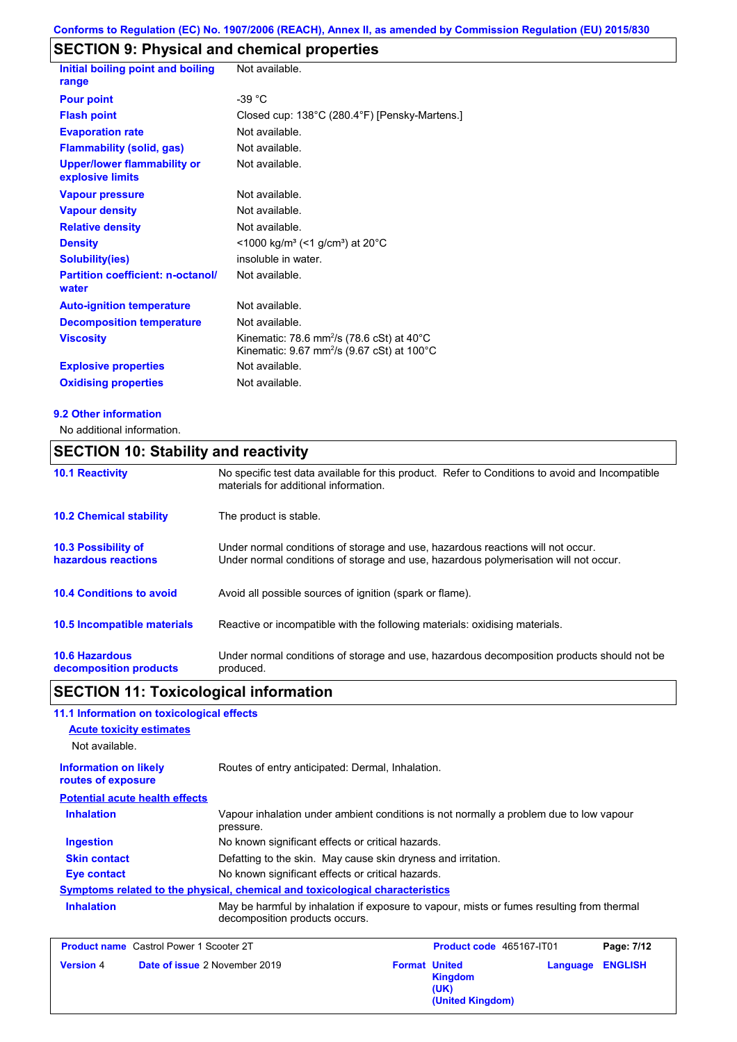# **SECTION 9: Physical and chemical properties**

| Initial boiling point and boiling<br>range             | Not available.                                                                                                             |
|--------------------------------------------------------|----------------------------------------------------------------------------------------------------------------------------|
| <b>Pour point</b>                                      | $-39 °C$                                                                                                                   |
| <b>Flash point</b>                                     | Closed cup: 138°C (280.4°F) [Pensky-Martens.]                                                                              |
| <b>Evaporation rate</b>                                | Not available.                                                                                                             |
| <b>Flammability (solid, gas)</b>                       | Not available.                                                                                                             |
| <b>Upper/lower flammability or</b><br>explosive limits | Not available.                                                                                                             |
| <b>Vapour pressure</b>                                 | Not available.                                                                                                             |
| <b>Vapour density</b>                                  | Not available.                                                                                                             |
| <b>Relative density</b>                                | Not available.                                                                                                             |
| <b>Density</b>                                         | $<$ 1000 kg/m <sup>3</sup> (<1 g/cm <sup>3</sup> ) at 20 <sup>°</sup> C                                                    |
| <b>Solubility(ies)</b>                                 | insoluble in water.                                                                                                        |
| <b>Partition coefficient: n-octanol/</b><br>water      | Not available.                                                                                                             |
| <b>Auto-ignition temperature</b>                       | Not available.                                                                                                             |
| <b>Decomposition temperature</b>                       | Not available.                                                                                                             |
| <b>Viscosity</b>                                       | Kinematic: 78.6 mm <sup>2</sup> /s (78.6 cSt) at 40 $^{\circ}$ C<br>Kinematic: 9.67 mm <sup>2</sup> /s (9.67 cSt) at 100°C |
| <b>Explosive properties</b>                            | Not available.                                                                                                             |
| <b>Oxidising properties</b>                            | Not available.                                                                                                             |

#### **9.2 Other information**

No additional information.

## **SECTION 10: Stability and reactivity**

| <b>10.1 Reactivity</b>                            | No specific test data available for this product. Refer to Conditions to avoid and Incompatible<br>materials for additional information.                                |
|---------------------------------------------------|-------------------------------------------------------------------------------------------------------------------------------------------------------------------------|
| <b>10.2 Chemical stability</b>                    | The product is stable.                                                                                                                                                  |
| <b>10.3 Possibility of</b><br>hazardous reactions | Under normal conditions of storage and use, hazardous reactions will not occur.<br>Under normal conditions of storage and use, hazardous polymerisation will not occur. |
| <b>10.4 Conditions to avoid</b>                   | Avoid all possible sources of ignition (spark or flame).                                                                                                                |
| <b>10.5 Incompatible materials</b>                | Reactive or incompatible with the following materials: oxidising materials.                                                                                             |
| <b>10.6 Hazardous</b><br>decomposition products   | Under normal conditions of storage and use, hazardous decomposition products should not be<br>produced.                                                                 |

## **SECTION 11: Toxicological information**

### **11.1 Information on toxicological effects**

| <b>Acute toxicity estimates</b>                    |                                                                                                                             |
|----------------------------------------------------|-----------------------------------------------------------------------------------------------------------------------------|
| Not available.                                     |                                                                                                                             |
| <b>Information on likely</b><br>routes of exposure | Routes of entry anticipated: Dermal, Inhalation.                                                                            |
| <b>Potential acute health effects</b>              |                                                                                                                             |
| <b>Inhalation</b>                                  | Vapour inhalation under ambient conditions is not normally a problem due to low vapour<br>pressure.                         |
| <b>Ingestion</b>                                   | No known significant effects or critical hazards.                                                                           |
| <b>Skin contact</b>                                | Defatting to the skin. May cause skin dryness and irritation.                                                               |
| Eye contact                                        | No known significant effects or critical hazards.                                                                           |
|                                                    | Symptoms related to the physical, chemical and toxicological characteristics                                                |
| <b>Inhalation</b>                                  | May be harmful by inhalation if exposure to vapour, mists or fumes resulting from thermal<br>decomposition products occurs. |

| <b>Product name</b> Castrol Power 1 Scooter 2T           | <b>Product code</b> 465167-IT01                                    | Page: 7/12              |
|----------------------------------------------------------|--------------------------------------------------------------------|-------------------------|
| <b>Date of issue 2 November 2019</b><br><b>Version 4</b> | <b>Format United</b><br><b>Kingdom</b><br>(UK)<br>(United Kingdom) | <b>Language ENGLISH</b> |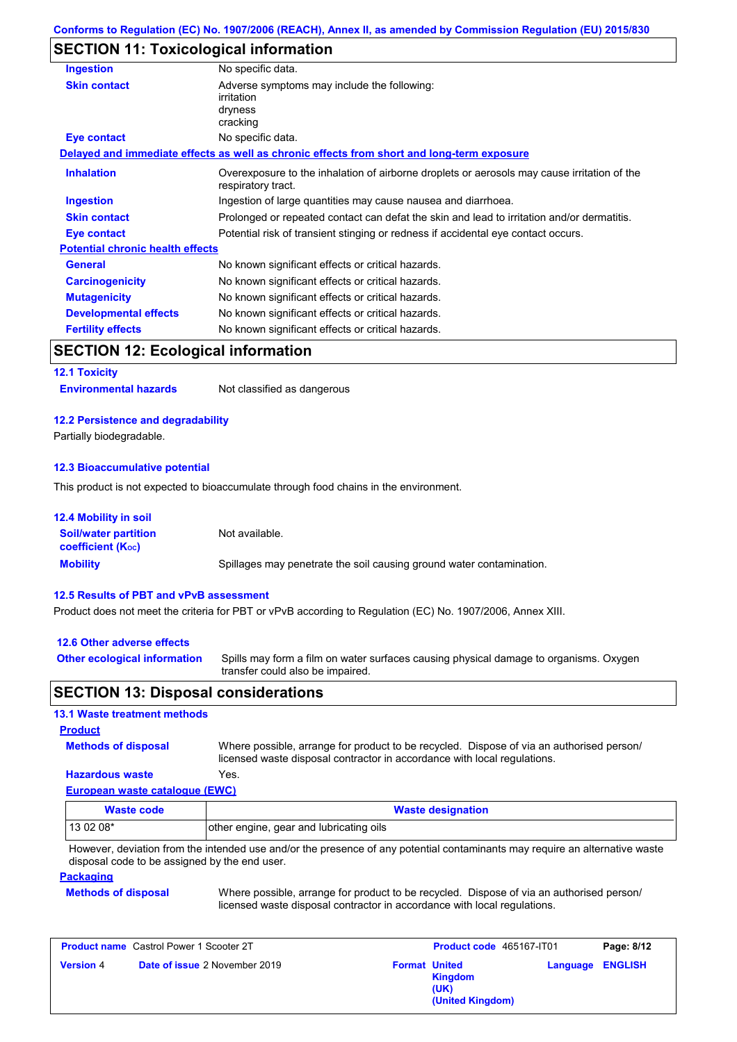### **SECTION 11: Toxicological information**

| <b>Ingestion</b>                        | No specific data.                                                                                                 |  |
|-----------------------------------------|-------------------------------------------------------------------------------------------------------------------|--|
| <b>Skin contact</b>                     | Adverse symptoms may include the following:<br>irritation<br>dryness<br>cracking                                  |  |
| Eye contact                             | No specific data.                                                                                                 |  |
|                                         | Delayed and immediate effects as well as chronic effects from short and long-term exposure                        |  |
| <b>Inhalation</b>                       | Overexposure to the inhalation of airborne droplets or aerosols may cause irritation of the<br>respiratory tract. |  |
| Ingestion                               | Ingestion of large quantities may cause nausea and diarrhoea.                                                     |  |
| <b>Skin contact</b>                     | Prolonged or repeated contact can defat the skin and lead to irritation and/or dermatitis.                        |  |
| Eye contact                             | Potential risk of transient stinging or redness if accidental eye contact occurs.                                 |  |
| <b>Potential chronic health effects</b> |                                                                                                                   |  |
| <b>General</b>                          | No known significant effects or critical hazards.                                                                 |  |
| <b>Carcinogenicity</b>                  | No known significant effects or critical hazards.                                                                 |  |
| <b>Mutagenicity</b>                     | No known significant effects or critical hazards.                                                                 |  |
| <b>Developmental effects</b>            | No known significant effects or critical hazards.                                                                 |  |
| <b>Fertility effects</b>                | No known significant effects or critical hazards.                                                                 |  |

### **SECTION 12: Ecological information**

**12.1 Toxicity**

**Environmental hazards** Not classified as dangerous

#### **12.2 Persistence and degradability**

Partially biodegradable.

#### **12.3 Bioaccumulative potential**

This product is not expected to bioaccumulate through food chains in the environment.

| <b>12.4 Mobility in soil</b>                                  |                                                                      |
|---------------------------------------------------------------|----------------------------------------------------------------------|
| <b>Soil/water partition</b><br>coefficient (K <sub>oc</sub> ) | Not available.                                                       |
| <b>Mobility</b>                                               | Spillages may penetrate the soil causing ground water contamination. |

#### **12.5 Results of PBT and vPvB assessment**

Product does not meet the criteria for PBT or vPvB according to Regulation (EC) No. 1907/2006, Annex XIII.

### **12.6 Other adverse effects**

**Other ecological information**

Spills may form a film on water surfaces causing physical damage to organisms. Oxygen transfer could also be impaired.

### **SECTION 13: Disposal considerations**

#### **European waste catalogue (EWC) Hazardous waste** Yes. Where possible, arrange for product to be recycled. Dispose of via an authorised person/ licensed waste disposal contractor in accordance with local regulations. **Methods of disposal 13.1 Waste treatment methods Product**

| Waste code  | <b>Waste designation</b>                |
|-------------|-----------------------------------------|
| l 13 02 08* | other engine, gear and lubricating oils |

However, deviation from the intended use and/or the presence of any potential contaminants may require an alternative waste disposal code to be assigned by the end user.

#### **Packaging**

**Methods of disposal**

Where possible, arrange for product to be recycled. Dispose of via an authorised person/ licensed waste disposal contractor in accordance with local regulations.

| <b>Product name</b> Castrol Power 1 Scooter 2T |                                      | Product code 465167-IT01 |                                                                    | Page: 8/12 |                         |
|------------------------------------------------|--------------------------------------|--------------------------|--------------------------------------------------------------------|------------|-------------------------|
| <b>Version 4</b>                               | <b>Date of issue 2 November 2019</b> |                          | <b>Format United</b><br><b>Kingdom</b><br>(UK)<br>(United Kingdom) |            | <b>Language ENGLISH</b> |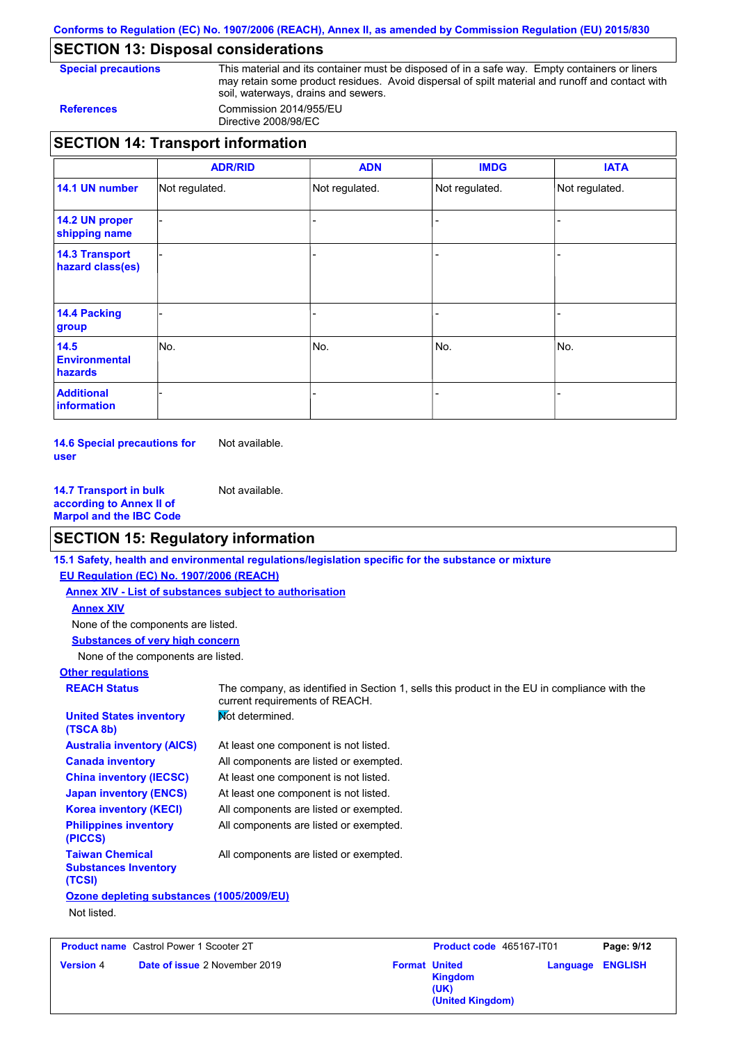**Conforms to Regulation (EC) No. 1907/2006 (REACH), Annex II, as amended by Commission Regulation (EU) 2015/830**

### **SECTION 13: Disposal considerations**

**Special precautions** This material and its container must be disposed of in a safe way. Empty containers or liners may retain some product residues. Avoid dispersal of spilt material and runoff and contact with soil, waterways, drains and sewers. **References** Commission 2014/955/EU

Directive 2008/98/EC

|                                           | <b>ADR/RID</b> | <b>ADN</b>     | <b>IMDG</b>    | <b>IATA</b>    |
|-------------------------------------------|----------------|----------------|----------------|----------------|
| 14.1 UN number                            | Not regulated. | Not regulated. | Not regulated. | Not regulated. |
| 14.2 UN proper<br>shipping name           |                |                |                |                |
| <b>14.3 Transport</b><br>hazard class(es) |                |                |                |                |
| 14.4 Packing<br>group                     |                |                |                |                |
| 14.5<br><b>Environmental</b><br>hazards   | No.            | No.            | No.            | INo.           |
| <b>Additional</b><br><b>information</b>   |                |                |                |                |

**14.6 Special precautions for user** Not available.

**14.7 Transport in bulk according to Annex II of Marpol and the IBC Code** Not available.

### **SECTION 15: Regulatory information**

**Other regulations REACH Status** The company, as identified in Section 1, sells this product in the EU in compliance with the current requirements of REACH. **15.1 Safety, health and environmental regulations/legislation specific for the substance or mixture EU Regulation (EC) No. 1907/2006 (REACH) Annex XIV - List of substances subject to authorisation Substances of very high concern** None of the components are listed. At least one component is not listed. All components are listed or exempted. At least one component is not listed. At least one component is not listed. **Not determined.** All components are listed or exempted. All components are listed or exempted. **United States inventory (TSCA 8b) Australia inventory (AICS) Canada inventory China inventory (IECSC) Japan inventory (ENCS) Korea inventory (KECI) Philippines inventory (PICCS) Taiwan Chemical Substances Inventory (TCSI)** All components are listed or exempted. **Ozone depleting substances (1005/2009/EU)** Not listed. None of the components are listed. **Annex XIV**

**Product name** Castrol Power 1 Scooter 2T **Version** 4 **Date of issue** 2 November 2019 **Format** United

**Product code** 465167-IT01 **Page: 9/12 Kingdom (UK) Language ENGLISH (United Kingdom)**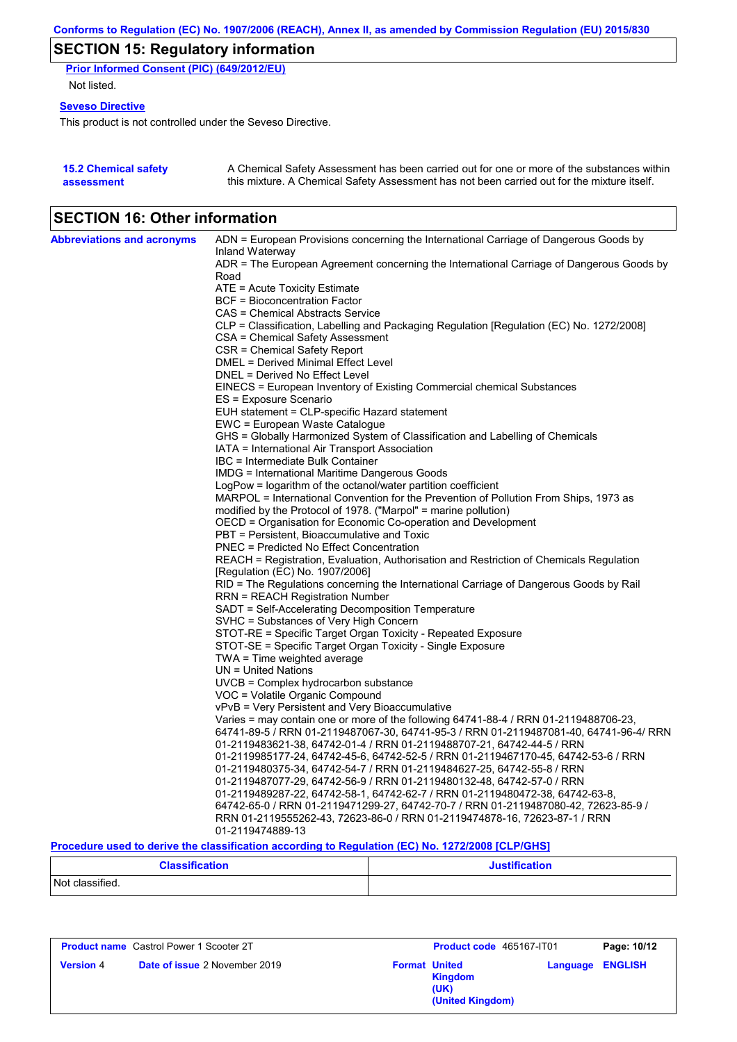# **SECTION 15: Regulatory information**

**Prior Informed Consent (PIC) (649/2012/EU)** Not listed.

#### **Seveso Directive**

This product is not controlled under the Seveso Directive.

| <b>15.2 Chemical safety</b> | A Chemical Safety Assessment has been carried out for one or more of the substances within  |
|-----------------------------|---------------------------------------------------------------------------------------------|
| assessment                  | this mixture. A Chemical Safety Assessment has not been carried out for the mixture itself. |

# **SECTION 16: Other information**

| <b>Abbreviations and acronyms</b> | ADN = European Provisions concerning the International Carriage of Dangerous Goods by                                                                                         |
|-----------------------------------|-------------------------------------------------------------------------------------------------------------------------------------------------------------------------------|
|                                   | Inland Waterway<br>ADR = The European Agreement concerning the International Carriage of Dangerous Goods by                                                                   |
|                                   | Road                                                                                                                                                                          |
|                                   | ATE = Acute Toxicity Estimate                                                                                                                                                 |
|                                   | <b>BCF</b> = Bioconcentration Factor                                                                                                                                          |
|                                   | CAS = Chemical Abstracts Service                                                                                                                                              |
|                                   | CLP = Classification, Labelling and Packaging Regulation [Regulation (EC) No. 1272/2008]                                                                                      |
|                                   | CSA = Chemical Safety Assessment                                                                                                                                              |
|                                   | CSR = Chemical Safety Report                                                                                                                                                  |
|                                   | DMEL = Derived Minimal Effect Level                                                                                                                                           |
|                                   | DNEL = Derived No Effect Level                                                                                                                                                |
|                                   | EINECS = European Inventory of Existing Commercial chemical Substances                                                                                                        |
|                                   | ES = Exposure Scenario                                                                                                                                                        |
|                                   | EUH statement = CLP-specific Hazard statement                                                                                                                                 |
|                                   | EWC = European Waste Catalogue                                                                                                                                                |
|                                   | GHS = Globally Harmonized System of Classification and Labelling of Chemicals                                                                                                 |
|                                   | IATA = International Air Transport Association                                                                                                                                |
|                                   | IBC = Intermediate Bulk Container                                                                                                                                             |
|                                   | IMDG = International Maritime Dangerous Goods                                                                                                                                 |
|                                   | LogPow = logarithm of the octanol/water partition coefficient                                                                                                                 |
|                                   | MARPOL = International Convention for the Prevention of Pollution From Ships, 1973 as                                                                                         |
|                                   | modified by the Protocol of 1978. ("Marpol" = marine pollution)<br>OECD = Organisation for Economic Co-operation and Development                                              |
|                                   | PBT = Persistent, Bioaccumulative and Toxic                                                                                                                                   |
|                                   | <b>PNEC = Predicted No Effect Concentration</b>                                                                                                                               |
|                                   | REACH = Registration, Evaluation, Authorisation and Restriction of Chemicals Regulation                                                                                       |
|                                   | [Regulation (EC) No. 1907/2006]                                                                                                                                               |
|                                   | RID = The Regulations concerning the International Carriage of Dangerous Goods by Rail                                                                                        |
|                                   | <b>RRN = REACH Registration Number</b>                                                                                                                                        |
|                                   | SADT = Self-Accelerating Decomposition Temperature                                                                                                                            |
|                                   | SVHC = Substances of Very High Concern                                                                                                                                        |
|                                   | STOT-RE = Specific Target Organ Toxicity - Repeated Exposure                                                                                                                  |
|                                   | STOT-SE = Specific Target Organ Toxicity - Single Exposure                                                                                                                    |
|                                   | TWA = Time weighted average                                                                                                                                                   |
|                                   | $UN = United Nations$                                                                                                                                                         |
|                                   | $UVCB = Complex\;hydrocarbon\; substance$                                                                                                                                     |
|                                   | VOC = Volatile Organic Compound                                                                                                                                               |
|                                   | vPvB = Very Persistent and Very Bioaccumulative                                                                                                                               |
|                                   | Varies = may contain one or more of the following 64741-88-4 / RRN 01-2119488706-23,<br>64741-89-5 / RRN 01-2119487067-30, 64741-95-3 / RRN 01-2119487081-40, 64741-96-4/ RRN |
|                                   | 01-2119483621-38, 64742-01-4 / RRN 01-2119488707-21, 64742-44-5 / RRN                                                                                                         |
|                                   | 01-2119985177-24, 64742-45-6, 64742-52-5 / RRN 01-2119467170-45, 64742-53-6 / RRN                                                                                             |
|                                   | 01-2119480375-34, 64742-54-7 / RRN 01-2119484627-25, 64742-55-8 / RRN                                                                                                         |
|                                   | 01-2119487077-29, 64742-56-9 / RRN 01-2119480132-48, 64742-57-0 / RRN                                                                                                         |
|                                   | 01-2119489287-22, 64742-58-1, 64742-62-7 / RRN 01-2119480472-38, 64742-63-8,                                                                                                  |
|                                   | 64742-65-0 / RRN 01-2119471299-27, 64742-70-7 / RRN 01-2119487080-42, 72623-85-9 /                                                                                            |
|                                   | RRN 01-2119555262-43, 72623-86-0 / RRN 01-2119474878-16, 72623-87-1 / RRN                                                                                                     |
|                                   | 01-2119474889-13                                                                                                                                                              |
|                                   | Procedure used to derive the classification according to Regulation (EC) No. 1272/2008 [CLP/GHS]                                                                              |

**Classification Justification** Not classified.

| <b>Product name</b> Castrol Power 1 Scooter 2T |                                      | Product code 465167-IT01 |                                            | Page: 10/12             |  |
|------------------------------------------------|--------------------------------------|--------------------------|--------------------------------------------|-------------------------|--|
| <b>Version 4</b>                               | <b>Date of issue 2 November 2019</b> | <b>Format United</b>     | <b>Kingdom</b><br>(UK)<br>(United Kingdom) | <b>Language ENGLISH</b> |  |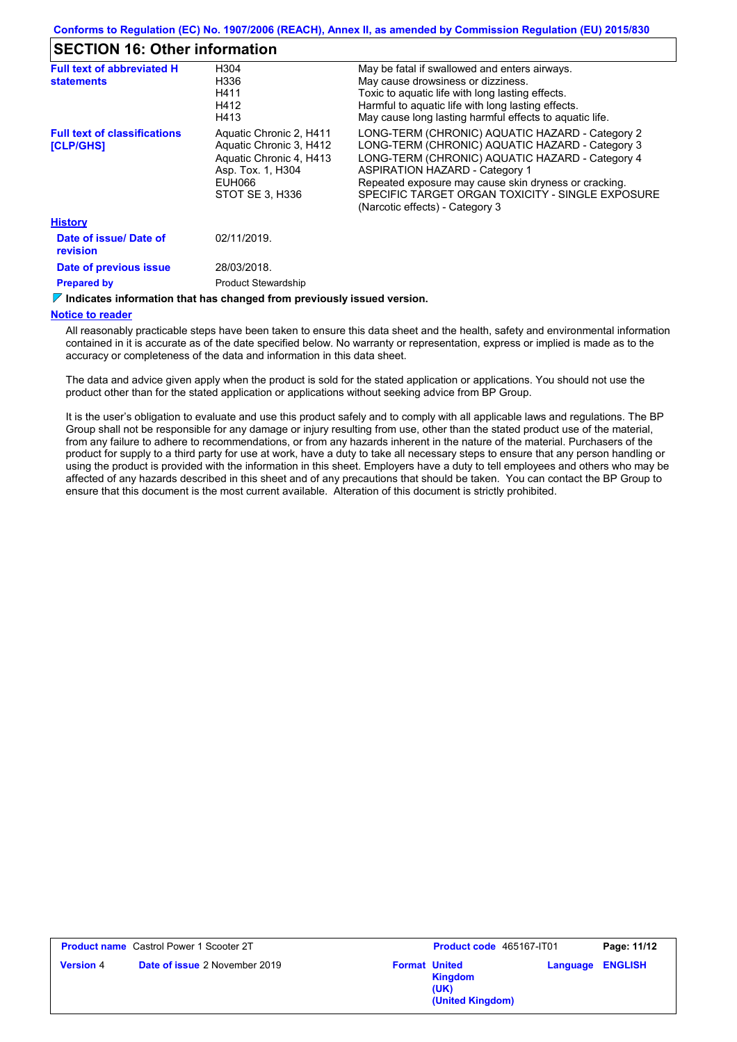### **SECTION 16: Other information**

| <b>Full text of abbreviated H</b><br><b>statements</b>  | H304<br>H336<br>H411<br>H412<br>H413                                                                                            | May be fatal if swallowed and enters airways.<br>May cause drowsiness or dizziness.<br>Toxic to aquatic life with long lasting effects.<br>Harmful to aquatic life with long lasting effects.<br>May cause long lasting harmful effects to aguatic life.                                                                                       |
|---------------------------------------------------------|---------------------------------------------------------------------------------------------------------------------------------|------------------------------------------------------------------------------------------------------------------------------------------------------------------------------------------------------------------------------------------------------------------------------------------------------------------------------------------------|
| <b>Full text of classifications</b><br><b>[CLP/GHS]</b> | Aquatic Chronic 2, H411<br>Aquatic Chronic 3, H412<br>Aquatic Chronic 4, H413<br>Asp. Tox. 1, H304<br>EUH066<br>STOT SE 3. H336 | LONG-TERM (CHRONIC) AQUATIC HAZARD - Category 2<br>LONG-TERM (CHRONIC) AQUATIC HAZARD - Category 3<br>LONG-TERM (CHRONIC) AQUATIC HAZARD - Category 4<br><b>ASPIRATION HAZARD - Category 1</b><br>Repeated exposure may cause skin dryness or cracking.<br>SPECIFIC TARGET ORGAN TOXICITY - SINGLE EXPOSURE<br>(Narcotic effects) - Category 3 |
| <b>History</b>                                          |                                                                                                                                 |                                                                                                                                                                                                                                                                                                                                                |
| Date of issue/ Date of<br>revision                      | 02/11/2019.                                                                                                                     |                                                                                                                                                                                                                                                                                                                                                |
| Date of previous issue<br><b>Prepared by</b>            | 28/03/2018.<br><b>Product Stewardship</b>                                                                                       |                                                                                                                                                                                                                                                                                                                                                |

#### **Indicates information that has changed from previously issued version.**

#### **Notice to reader**

All reasonably practicable steps have been taken to ensure this data sheet and the health, safety and environmental information contained in it is accurate as of the date specified below. No warranty or representation, express or implied is made as to the accuracy or completeness of the data and information in this data sheet.

The data and advice given apply when the product is sold for the stated application or applications. You should not use the product other than for the stated application or applications without seeking advice from BP Group.

It is the user's obligation to evaluate and use this product safely and to comply with all applicable laws and regulations. The BP Group shall not be responsible for any damage or injury resulting from use, other than the stated product use of the material, from any failure to adhere to recommendations, or from any hazards inherent in the nature of the material. Purchasers of the product for supply to a third party for use at work, have a duty to take all necessary steps to ensure that any person handling or using the product is provided with the information in this sheet. Employers have a duty to tell employees and others who may be affected of any hazards described in this sheet and of any precautions that should be taken. You can contact the BP Group to ensure that this document is the most current available. Alteration of this document is strictly prohibited.